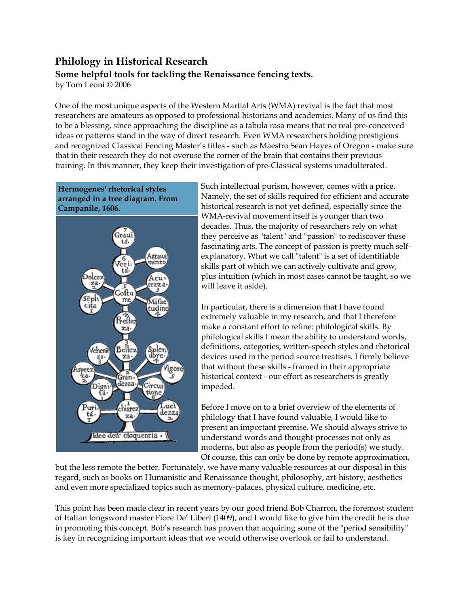# **Philology in Historical Research Some helpful tools for tackling the Renaissance fencing texts.**

by Tom Leoni © 2006

One of the most unique aspects of the Western Martial Arts (WMA) revival is the fact that most researchers are amateurs as opposed to professional historians and academics. Many of us find this to be a blessing, since approaching the discipline as a tabula rasa means that no real pre-conceived ideas or patterns stand in the way of direct research. Even WMA researchers holding prestigious and recognized Classical Fencing Master's titles - such as Maestro Sean Hayes of Oregon - make sure that in their research they do not overuse the corner of the brain that contains their previous training. In this manner, they keep their investigation of pre-Classical systems unadulterated.



Such intellectual purism, however, comes with a price. Namely, the set of skills required for efficient and accurate historical research is not yet defined, especially since the WMA-revival movement itself is younger than two decades. Thus, the majority of researchers rely on what they perceive as "talent" and "passion" to rediscover these fascinating arts. The concept of passion is pretty much selfexplanatory. What we call "talent" is a set of identifiable skills part of which we can actively cultivate and grow, plus intuition (which in most cases cannot be taught, so we will leave it aside).

In particular, there is a dimension that I have found extremely valuable in my research, and that I therefore make a constant effort to refine: philological skills. By philological skills I mean the ability to understand words, definitions, categories, written-speech styles and rhetorical devices used in the period source treatises. I firmly believe that without these skills - framed in their appropriate historical context - our effort as researchers is greatly impeded.

Before I move on to a brief overview of the elements of philology that I have found valuable, I would like to present an important premise. We should always strive to understand words and thought-processes not only as moderns, but also as people from the period(s) we study. Of course, this can only be done by remote approximation,

but the less remote the better. Fortunately, we have many valuable resources at our disposal in this regard, such as books on Humanistic and Renaissance thought, philosophy, art-history, aesthetics and even more specialized topics such as memory-palaces, physical culture, medicine, etc.

This point has been made clear in recent years by our good friend Bob Charron, the foremost student of Italian longsword master Fiore De' Liberi (1409), and I would like to give him the credit he is due in promoting this concept. Bob's research has proven that acquiring some of the "period sensibility" is key in recognizing important ideas that we would otherwise overlook or fail to understand.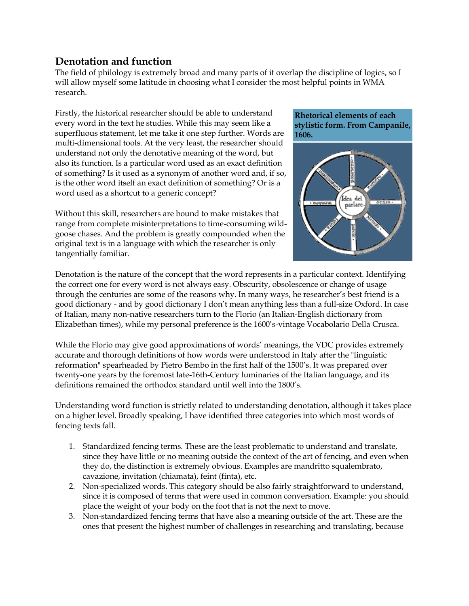### **Denotation and function**

The field of philology is extremely broad and many parts of it overlap the discipline of logics, so I will allow myself some latitude in choosing what I consider the most helpful points in WMA research.

Firstly, the historical researcher should be able to understand every word in the text he studies. While this may seem like a superfluous statement, let me take it one step further. Words are multi-dimensional tools. At the very least, the researcher should understand not only the denotative meaning of the word, but also its function. Is a particular word used as an exact definition of something? Is it used as a synonym of another word and, if so, is the other word itself an exact definition of something? Or is a word used as a shortcut to a generic concept?

Without this skill, researchers are bound to make mistakes that range from complete misinterpretations to time-consuming wildgoose chases. And the problem is greatly compounded when the original text is in a language with which the researcher is only tangentially familiar.

#### **Rhetorical elements of each stylistic form. From Campanile, 1606.**



Denotation is the nature of the concept that the word represents in a particular context. Identifying the correct one for every word is not always easy. Obscurity, obsolescence or change of usage through the centuries are some of the reasons why. In many ways, he researcher's best friend is a good dictionary - and by good dictionary I don't mean anything less than a full-size Oxford. In case of Italian, many non-native researchers turn to the Florio (an Italian-English dictionary from Elizabethan times), while my personal preference is the 1600's-vintage Vocabolario Della Crusca.

While the Florio may give good approximations of words' meanings, the VDC provides extremely accurate and thorough definitions of how words were understood in Italy after the "linguistic reformation" spearheaded by Pietro Bembo in the first half of the 1500's. It was prepared over twenty-one years by the foremost late-16th-Century luminaries of the Italian language, and its definitions remained the orthodox standard until well into the 1800's.

Understanding word function is strictly related to understanding denotation, although it takes place on a higher level. Broadly speaking, I have identified three categories into which most words of fencing texts fall.

- 1. Standardized fencing terms. These are the least problematic to understand and translate, since they have little or no meaning outside the context of the art of fencing, and even when they do, the distinction is extremely obvious. Examples are mandritto squalembrato, cavazione, invitation (chiamata), feint (finta), etc.
- 2. Non-specialized words. This category should be also fairly straightforward to understand, since it is composed of terms that were used in common conversation. Example: you should place the weight of your body on the foot that is not the next to move.
- 3. Non-standardized fencing terms that have also a meaning outside of the art. These are the ones that present the highest number of challenges in researching and translating, because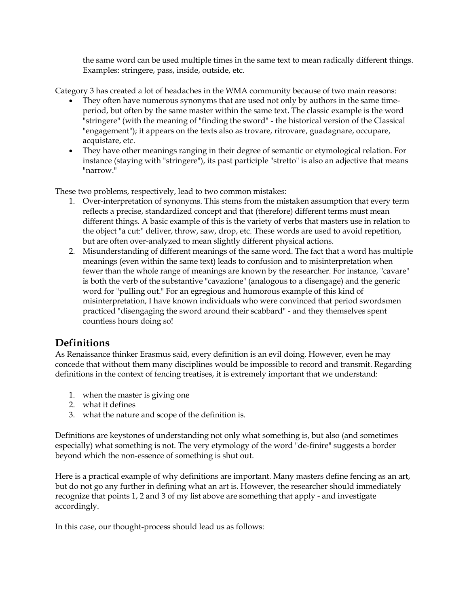the same word can be used multiple times in the same text to mean radically different things. Examples: stringere, pass, inside, outside, etc.

Category 3 has created a lot of headaches in the WMA community because of two main reasons:

- They often have numerous synonyms that are used not only by authors in the same timeperiod, but often by the same master within the same text. The classic example is the word "stringere" (with the meaning of "finding the sword" - the historical version of the Classical "engagement"); it appears on the texts also as trovare, ritrovare, guadagnare, occupare, acquistare, etc.
- They have other meanings ranging in their degree of semantic or etymological relation. For instance (staying with "stringere"), its past participle "stretto" is also an adjective that means "narrow."

These two problems, respectively, lead to two common mistakes:

- 1. Over-interpretation of synonyms. This stems from the mistaken assumption that every term reflects a precise, standardized concept and that (therefore) different terms must mean different things. A basic example of this is the variety of verbs that masters use in relation to the object "a cut:" deliver, throw, saw, drop, etc. These words are used to avoid repetition, but are often over-analyzed to mean slightly different physical actions.
- 2. Misunderstanding of different meanings of the same word. The fact that a word has multiple meanings (even within the same text) leads to confusion and to misinterpretation when fewer than the whole range of meanings are known by the researcher. For instance, "cavare" is both the verb of the substantive "cavazione" (analogous to a disengage) and the generic word for "pulling out." For an egregious and humorous example of this kind of misinterpretation, I have known individuals who were convinced that period swordsmen practiced "disengaging the sword around their scabbard" - and they themselves spent countless hours doing so!

# **Definitions**

As Renaissance thinker Erasmus said, every definition is an evil doing. However, even he may concede that without them many disciplines would be impossible to record and transmit. Regarding definitions in the context of fencing treatises, it is extremely important that we understand:

- 1. when the master is giving one
- 2. what it defines
- 3. what the nature and scope of the definition is.

Definitions are keystones of understanding not only what something is, but also (and sometimes especially) what something is not. The very etymology of the word "de-finire" suggests a border beyond which the non-essence of something is shut out.

Here is a practical example of why definitions are important. Many masters define fencing as an art, but do not go any further in defining what an art is. However, the researcher should immediately recognize that points 1, 2 and 3 of my list above are something that apply - and investigate accordingly.

In this case, our thought-process should lead us as follows: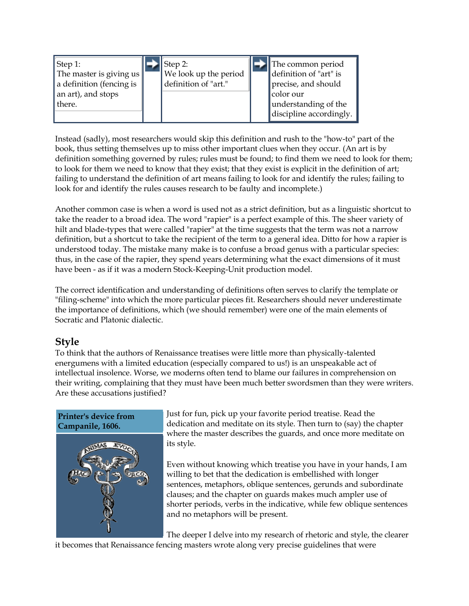| $\vert$ Step 1:<br>The master is giving $us$<br>a definition (fencing is<br>an art), and stops<br>there. |
|----------------------------------------------------------------------------------------------------------|
|----------------------------------------------------------------------------------------------------------|

Instead (sadly), most researchers would skip this definition and rush to the "how-to" part of the book, thus setting themselves up to miss other important clues when they occur. (An art is by definition something governed by rules; rules must be found; to find them we need to look for them; to look for them we need to know that they exist; that they exist is explicit in the definition of art; failing to understand the definition of art means failing to look for and identify the rules; failing to look for and identify the rules causes research to be faulty and incomplete.)

Another common case is when a word is used not as a strict definition, but as a linguistic shortcut to take the reader to a broad idea. The word "rapier" is a perfect example of this. The sheer variety of hilt and blade-types that were called "rapier" at the time suggests that the term was not a narrow definition, but a shortcut to take the recipient of the term to a general idea. Ditto for how a rapier is understood today. The mistake many make is to confuse a broad genus with a particular species: thus, in the case of the rapier, they spend years determining what the exact dimensions of it must have been - as if it was a modern Stock-Keeping-Unit production model.

The correct identification and understanding of definitions often serves to clarify the template or "filing-scheme" into which the more particular pieces fit. Researchers should never underestimate the importance of definitions, which (we should remember) were one of the main elements of Socratic and Platonic dialectic.

# **Style**

To think that the authors of Renaissance treatises were little more than physically-talented energumens with a limited education (especially compared to us!) is an unspeakable act of intellectual insolence. Worse, we moderns often tend to blame our failures in comprehension on their writing, complaining that they must have been much better swordsmen than they were writers. Are these accusations justified?



Just for fun, pick up your favorite period treatise. Read the dedication and meditate on its style. Then turn to (say) the chapter where the master describes the guards, and once more meditate on its style.

Even without knowing which treatise you have in your hands, I am willing to bet that the dedication is embellished with longer sentences, metaphors, oblique sentences, gerunds and subordinate clauses; and the chapter on guards makes much ampler use of shorter periods, verbs in the indicative, while few oblique sentences and no metaphors will be present.

The deeper I delve into my research of rhetoric and style, the clearer

it becomes that Renaissance fencing masters wrote along very precise guidelines that were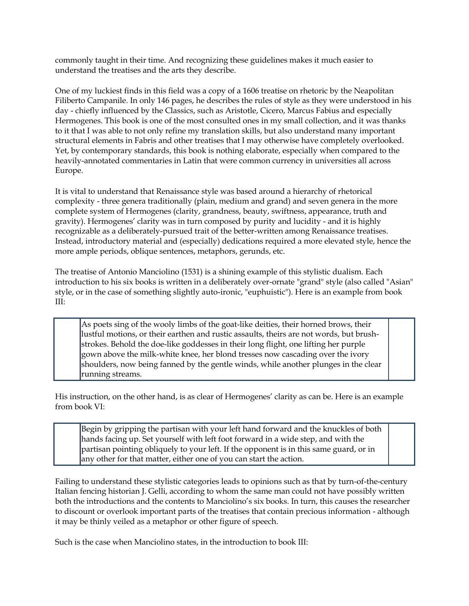commonly taught in their time. And recognizing these guidelines makes it much easier to understand the treatises and the arts they describe.

One of my luckiest finds in this field was a copy of a 1606 treatise on rhetoric by the Neapolitan Filiberto Campanile. In only 146 pages, he describes the rules of style as they were understood in his day - chiefly influenced by the Classics, such as Aristotle, Cicero, Marcus Fabius and especially Hermogenes. This book is one of the most consulted ones in my small collection, and it was thanks to it that I was able to not only refine my translation skills, but also understand many important structural elements in Fabris and other treatises that I may otherwise have completely overlooked. Yet, by contemporary standards, this book is nothing elaborate, especially when compared to the heavily-annotated commentaries in Latin that were common currency in universities all across Europe.

It is vital to understand that Renaissance style was based around a hierarchy of rhetorical complexity - three genera traditionally (plain, medium and grand) and seven genera in the more complete system of Hermogenes (clarity, grandness, beauty, swiftness, appearance, truth and gravity). Hermogenes' clarity was in turn composed by purity and lucidity - and it is highly recognizable as a deliberately-pursued trait of the better-written among Renaissance treatises. Instead, introductory material and (especially) dedications required a more elevated style, hence the more ample periods, oblique sentences, metaphors, gerunds, etc.

The treatise of Antonio Manciolino (1531) is a shining example of this stylistic dualism. Each introduction to his six books is written in a deliberately over-ornate "grand" style (also called "Asian" style, or in the case of something slightly auto-ironic, "euphuistic"). Here is an example from book III:

As poets sing of the wooly limbs of the goat-like deities, their horned brows, their lustful motions, or their earthen and rustic assaults, theirs are not words, but brushstrokes. Behold the doe-like goddesses in their long flight, one lifting her purple gown above the milk-white knee, her blond tresses now cascading over the ivory shoulders, now being fanned by the gentle winds, while another plunges in the clear running streams.

His instruction, on the other hand, is as clear of Hermogenes' clarity as can be. Here is an example from book VI:

Begin by gripping the partisan with your left hand forward and the knuckles of both hands facing up. Set yourself with left foot forward in a wide step, and with the partisan pointing obliquely to your left. If the opponent is in this same guard, or in any other for that matter, either one of you can start the action.

Failing to understand these stylistic categories leads to opinions such as that by turn-of-the-century Italian fencing historian J. Gelli, according to whom the same man could not have possibly written both the introductions and the contents to Manciolino's six books. In turn, this causes the researcher to discount or overlook important parts of the treatises that contain precious information - although it may be thinly veiled as a metaphor or other figure of speech.

Such is the case when Manciolino states, in the introduction to book III: